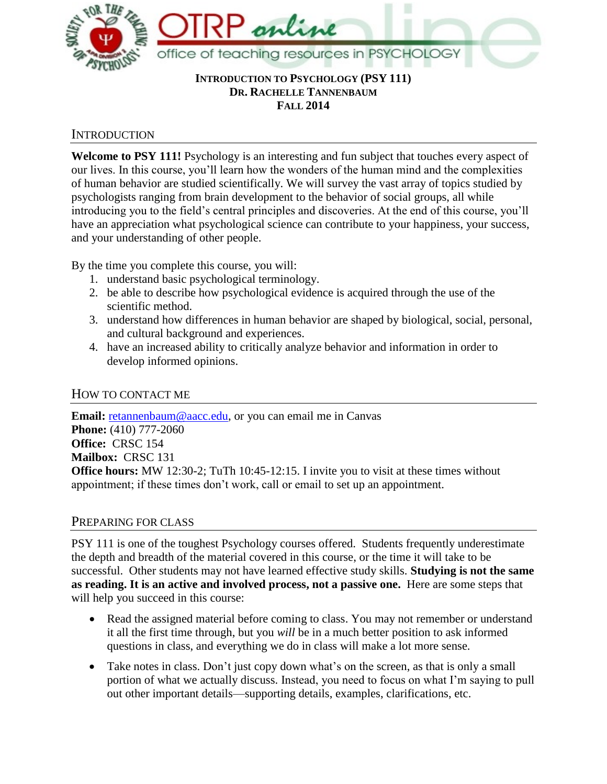

### **INTRODUCTION TO PSYCHOLOGY (PSY 111) DR. RACHELLE TANNENBAUM FALL 2014**

# INTRODUCTION

**Welcome to PSY 111!** Psychology is an interesting and fun subject that touches every aspect of our lives. In this course, you'll learn how the wonders of the human mind and the complexities of human behavior are studied scientifically. We will survey the vast array of topics studied by psychologists ranging from brain development to the behavior of social groups, all while introducing you to the field's central principles and discoveries. At the end of this course, you'll have an appreciation what psychological science can contribute to your happiness, your success, and your understanding of other people.

By the time you complete this course, you will:

- 1. understand basic psychological terminology.
- 2. be able to describe how psychological evidence is acquired through the use of the scientific method.
- 3. understand how differences in human behavior are shaped by biological, social, personal, and cultural background and experiences.
- 4. have an increased ability to critically analyze behavior and information in order to develop informed opinions.

# HOW TO CONTACT ME

Email: [retannenbaum@aacc.edu,](mailto:retannenbaum@aacc.edu) or you can email me in Canvas **Phone:** (410) 777-2060 **Office:** CRSC 154 **Mailbox:** CRSC 131 **Office hours:** MW 12:30-2; TuTh 10:45-12:15. I invite you to visit at these times without appointment; if these times don't work, call or email to set up an appointment.

# PREPARING FOR CLASS

PSY 111 is one of the toughest Psychology courses offered. Students frequently underestimate the depth and breadth of the material covered in this course, or the time it will take to be successful. Other students may not have learned effective study skills. **Studying is not the same as reading. It is an active and involved process, not a passive one.** Here are some steps that will help you succeed in this course:

- Read the assigned material before coming to class. You may not remember or understand it all the first time through, but you *will* be in a much better position to ask informed questions in class, and everything we do in class will make a lot more sense.
- Take notes in class. Don't just copy down what's on the screen, as that is only a small portion of what we actually discuss. Instead, you need to focus on what I'm saying to pull out other important details—supporting details, examples, clarifications, etc.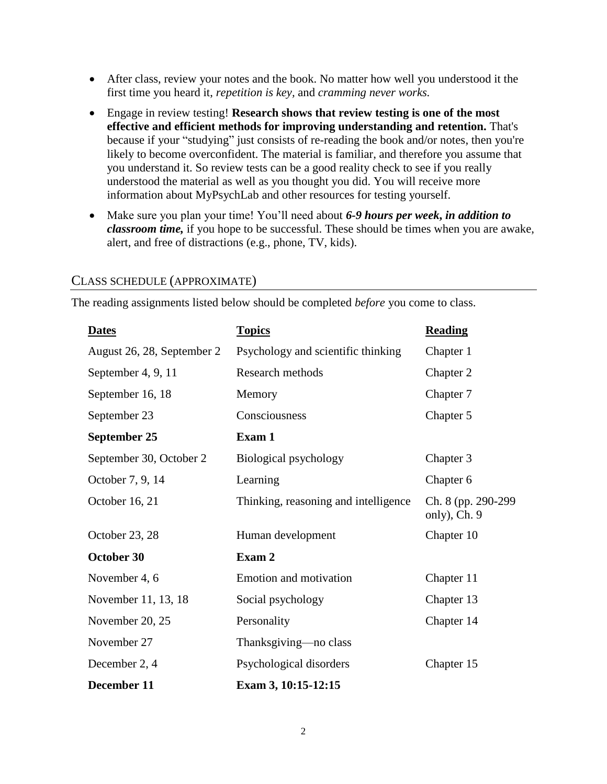- After class, review your notes and the book. No matter how well you understood it the first time you heard it, *repetition is key,* and *cramming never works.*
- Engage in review testing! **Research shows that review testing is one of the most effective and efficient methods for improving understanding and retention.** That's because if your "studying" just consists of re-reading the book and/or notes, then you're likely to become overconfident. The material is familiar, and therefore you assume that you understand it. So review tests can be a good reality check to see if you really understood the material as well as you thought you did. You will receive more information about MyPsychLab and other resources for testing yourself.
- Make sure you plan your time! You'll need about *6-9 hours per week***,** *in addition to classroom time,* if you hope to be successful. These should be times when you are awake, alert, and free of distractions (e.g., phone, TV, kids).

| <b>Dates</b>               | <b>Topics</b>                        | <b>Reading</b>                      |
|----------------------------|--------------------------------------|-------------------------------------|
| August 26, 28, September 2 | Psychology and scientific thinking   | Chapter 1                           |
| September 4, 9, 11         | Research methods                     | Chapter 2                           |
| September 16, 18           | Memory                               | Chapter 7                           |
| September 23               | Consciousness                        | Chapter 5                           |
| September 25               | Exam 1                               |                                     |
| September 30, October 2    | Biological psychology                | Chapter 3                           |
| October 7, 9, 14           | Learning                             | Chapter 6                           |
| October 16, 21             | Thinking, reasoning and intelligence | Ch. 8 (pp. 290-299)<br>only), Ch. 9 |
| October 23, 28             | Human development                    | Chapter 10                          |
| October 30                 | Exam 2                               |                                     |
| November 4, 6              | Emotion and motivation               | Chapter 11                          |
| November 11, 13, 18        | Social psychology                    | Chapter 13                          |
| November 20, 25            | Personality                          | Chapter 14                          |
| November 27                | Thanksgiving—no class                |                                     |
| December 2, 4              | Psychological disorders              | Chapter 15                          |
| December 11                | Exam 3, 10:15-12:15                  |                                     |

## CLASS SCHEDULE (APPROXIMATE)

The reading assignments listed below should be completed *before* you come to class.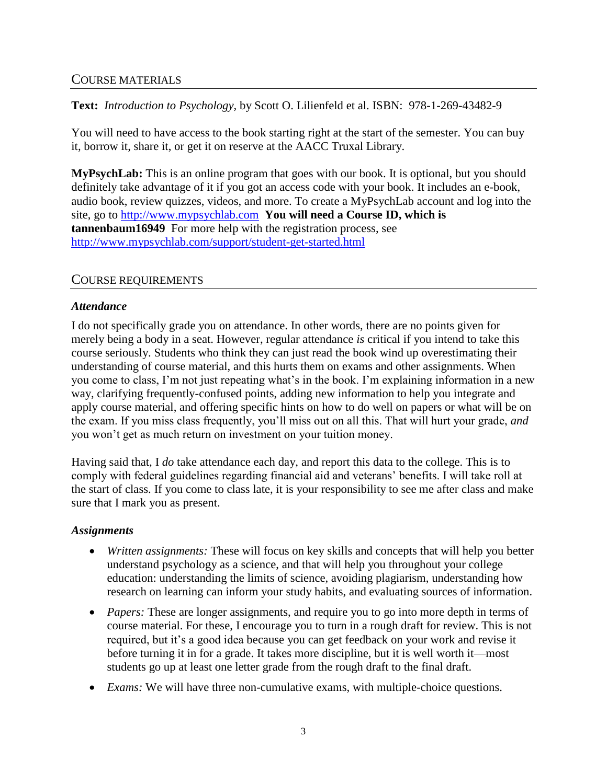## COURSE MATERIALS

**Text:** *Introduction to Psychology,* by Scott O. Lilienfeld et al. ISBN: 978-1-269-43482-9

You will need to have access to the book starting right at the start of the semester. You can buy it, borrow it, share it, or get it on reserve at the AACC Truxal Library.

**MyPsychLab:** This is an online program that goes with our book. It is optional, but you should definitely take advantage of it if you got an access code with your book. It includes an e-book, audio book, review quizzes, videos, and more. To create a MyPsychLab account and log into the site, go to [http://www.mypsychlab.com](http://www.mypsychlab.com/) **You will need a Course ID, which is tannenbaum16949** For more help with the registration process, see <http://www.mypsychlab.com/support/student-get-started.html>

## COURSE REQUIREMENTS

### *Attendance*

I do not specifically grade you on attendance. In other words, there are no points given for merely being a body in a seat. However, regular attendance *is* critical if you intend to take this course seriously. Students who think they can just read the book wind up overestimating their understanding of course material, and this hurts them on exams and other assignments. When you come to class, I'm not just repeating what's in the book. I'm explaining information in a new way, clarifying frequently-confused points, adding new information to help you integrate and apply course material, and offering specific hints on how to do well on papers or what will be on the exam. If you miss class frequently, you'll miss out on all this. That will hurt your grade, *and* you won't get as much return on investment on your tuition money.

Having said that, I *do* take attendance each day, and report this data to the college. This is to comply with federal guidelines regarding financial aid and veterans' benefits. I will take roll at the start of class. If you come to class late, it is your responsibility to see me after class and make sure that I mark you as present.

### *Assignments*

- *Written assignments:* These will focus on key skills and concepts that will help you better understand psychology as a science, and that will help you throughout your college education: understanding the limits of science, avoiding plagiarism, understanding how research on learning can inform your study habits, and evaluating sources of information.
- *Papers:* These are longer assignments, and require you to go into more depth in terms of course material. For these, I encourage you to turn in a rough draft for review. This is not required, but it's a good idea because you can get feedback on your work and revise it before turning it in for a grade. It takes more discipline, but it is well worth it—most students go up at least one letter grade from the rough draft to the final draft.
- *Exams:* We will have three non-cumulative exams, with multiple-choice questions.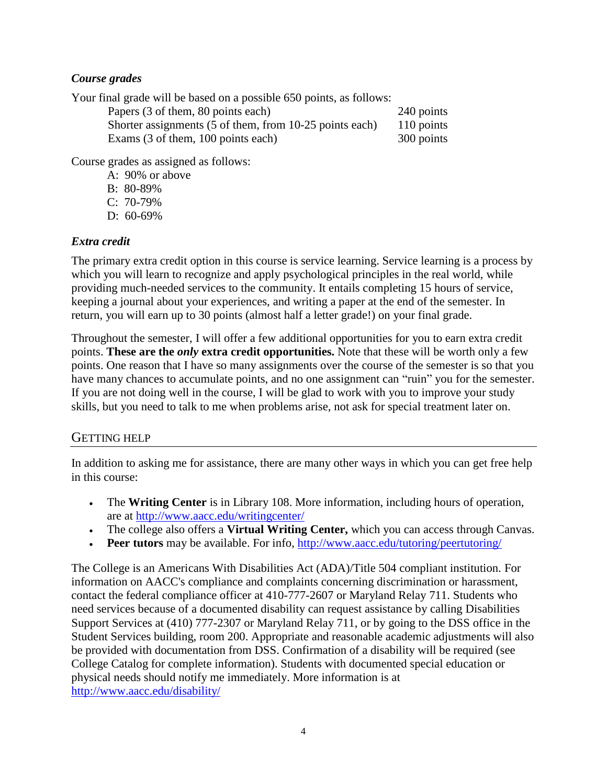# *Course grades*

Your final grade will be based on a possible 650 points, as follows:

| Papers (3 of them, 80 points each)                      | 240 points |
|---------------------------------------------------------|------------|
| Shorter assignments (5 of them, from 10-25 points each) | 110 points |
| Exams (3 of them, 100 points each)                      | 300 points |

Course grades as assigned as follows:

- A: 90% or above B: 80-89%
- C: 70-79%
- D: 60-69%

# *Extra credit*

The primary extra credit option in this course is service learning. Service learning is a process by which you will learn to recognize and apply psychological principles in the real world, while providing much-needed services to the community. It entails completing 15 hours of service, keeping a journal about your experiences, and writing a paper at the end of the semester. In return, you will earn up to 30 points (almost half a letter grade!) on your final grade.

Throughout the semester, I will offer a few additional opportunities for you to earn extra credit points. **These are the** *only* **extra credit opportunities.** Note that these will be worth only a few points. One reason that I have so many assignments over the course of the semester is so that you have many chances to accumulate points, and no one assignment can "ruin" you for the semester. If you are not doing well in the course, I will be glad to work with you to improve your study skills, but you need to talk to me when problems arise, not ask for special treatment later on.

# GETTING HELP

In addition to asking me for assistance, there are many other ways in which you can get free help in this course:

- The **Writing Center** is in Library 108. More information, including hours of operation, are at<http://www.aacc.edu/writingcenter/>
- The college also offers a **Virtual Writing Center,** which you can access through Canvas.
- **Peer tutors** may be available. For info,<http://www.aacc.edu/tutoring/peertutoring/>

The College is an Americans With Disabilities Act (ADA)/Title 504 compliant institution. For information on AACC's compliance and complaints concerning discrimination or harassment, contact the federal compliance officer at 410-777-2607 or Maryland Relay 711. Students who need services because of a documented disability can request assistance by calling Disabilities Support Services at (410) 777-2307 or Maryland Relay 711, or by going to the DSS office in the Student Services building, room 200. Appropriate and reasonable academic adjustments will also be provided with documentation from DSS. Confirmation of a disability will be required (see College Catalog for complete information). Students with documented special education or physical needs should notify me immediately. More information is at [http://www.aacc.edu/disability/](http://www.aacc.edu/disability/default.cfm)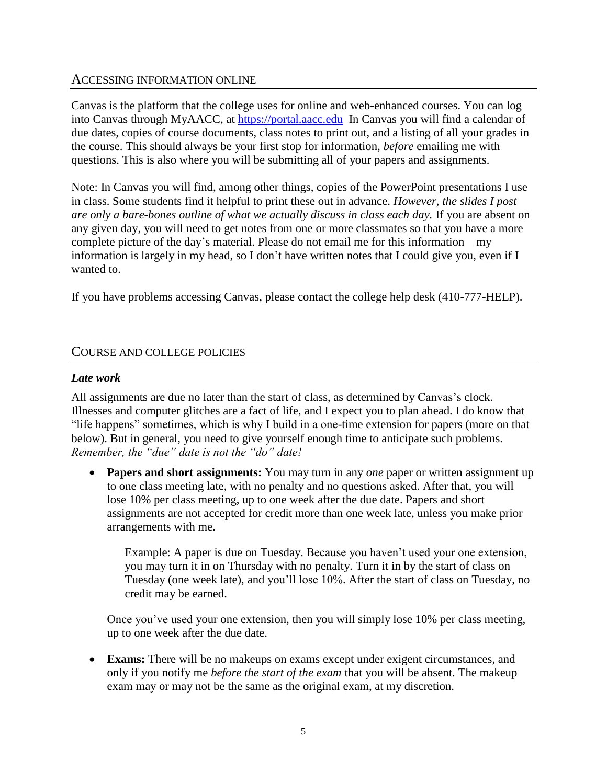### ACCESSING INFORMATION ONLINE

Canvas is the platform that the college uses for online and web-enhanced courses. You can log into Canvas through MyAACC, at [https://portal.aacc.edu](https://portal.aacc.edu/) In Canvas you will find a calendar of due dates, copies of course documents, class notes to print out, and a listing of all your grades in the course. This should always be your first stop for information, *before* emailing me with questions. This is also where you will be submitting all of your papers and assignments.

Note: In Canvas you will find, among other things, copies of the PowerPoint presentations I use in class. Some students find it helpful to print these out in advance. *However, the slides I post are only a bare-bones outline of what we actually discuss in class each day.* If you are absent on any given day, you will need to get notes from one or more classmates so that you have a more complete picture of the day's material. Please do not email me for this information—my information is largely in my head, so I don't have written notes that I could give you, even if I wanted to.

If you have problems accessing Canvas, please contact the college help desk (410-777-HELP).

## COURSE AND COLLEGE POLICIES

### *Late work*

All assignments are due no later than the start of class, as determined by Canvas's clock. Illnesses and computer glitches are a fact of life, and I expect you to plan ahead. I do know that "life happens" sometimes, which is why I build in a one-time extension for papers (more on that below). But in general, you need to give yourself enough time to anticipate such problems. *Remember, the "due" date is not the "do" date!*

 **Papers and short assignments:** You may turn in any *one* paper or written assignment up to one class meeting late, with no penalty and no questions asked. After that, you will lose 10% per class meeting, up to one week after the due date. Papers and short assignments are not accepted for credit more than one week late, unless you make prior arrangements with me.

Example: A paper is due on Tuesday. Because you haven't used your one extension, you may turn it in on Thursday with no penalty. Turn it in by the start of class on Tuesday (one week late), and you'll lose 10%. After the start of class on Tuesday, no credit may be earned.

Once you've used your one extension, then you will simply lose 10% per class meeting, up to one week after the due date.

 **Exams:** There will be no makeups on exams except under exigent circumstances, and only if you notify me *before the start of the exam* that you will be absent. The makeup exam may or may not be the same as the original exam, at my discretion.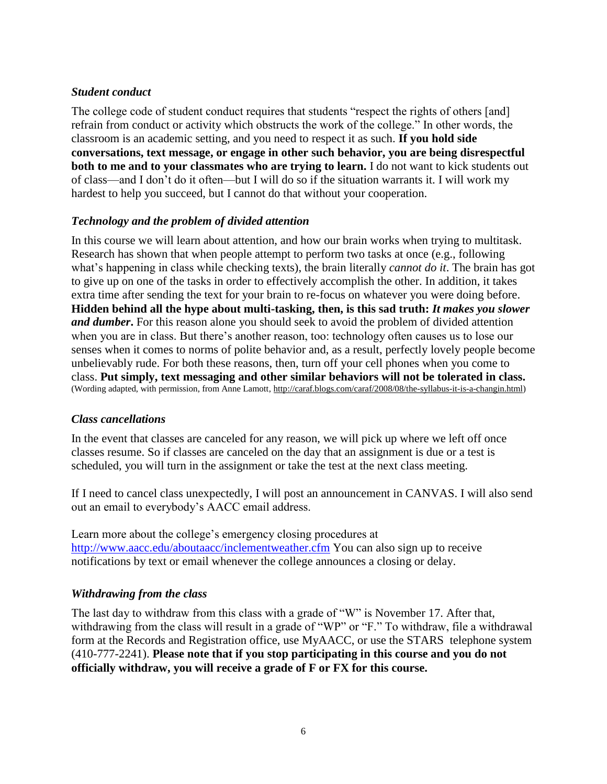## *Student conduct*

The college code of student conduct requires that students "respect the rights of others [and] refrain from conduct or activity which obstructs the work of the college." In other words, the classroom is an academic setting, and you need to respect it as such. **If you hold side conversations, text message, or engage in other such behavior, you are being disrespectful both to me and to your classmates who are trying to learn.** I do not want to kick students out of class—and I don't do it often—but I will do so if the situation warrants it. I will work my hardest to help you succeed, but I cannot do that without your cooperation.

## *Technology and the problem of divided attention*

In this course we will learn about attention, and how our brain works when trying to multitask. Research has shown that when people attempt to perform two tasks at once (e.g., following what's happening in class while checking texts), the brain literally *cannot do it*. The brain has got to give up on one of the tasks in order to effectively accomplish the other. In addition, it takes extra time after sending the text for your brain to re-focus on whatever you were doing before. **Hidden behind all the hype about multi-tasking, then, is this sad truth:** *It makes you slower and dumber***.** For this reason alone you should seek to avoid the problem of divided attention when you are in class. But there's another reason, too: technology often causes us to lose our senses when it comes to norms of polite behavior and, as a result, perfectly lovely people become unbelievably rude. For both these reasons, then, turn off your cell phones when you come to class. **Put simply, text messaging and other similar behaviors will not be tolerated in class.** (Wording adapted, with permission, from Anne Lamott, [http://caraf.blogs.com/caraf/2008/08/the-syllabus-it-is-a-changin.html\)](http://caraf.blogs.com/caraf/2008/08/the-syllabus-it-is-a-changin.html)

### *Class cancellations*

In the event that classes are canceled for any reason, we will pick up where we left off once classes resume. So if classes are canceled on the day that an assignment is due or a test is scheduled, you will turn in the assignment or take the test at the next class meeting.

If I need to cancel class unexpectedly, I will post an announcement in CANVAS. I will also send out an email to everybody's AACC email address.

Learn more about the college's emergency closing procedures at <http://www.aacc.edu/aboutaacc/inclementweather.cfm> You can also sign up to receive notifications by text or email whenever the college announces a closing or delay.

### *Withdrawing from the class*

The last day to withdraw from this class with a grade of "W" is November 17. After that, withdrawing from the class will result in a grade of "WP" or "F." To withdraw, file a withdrawal form at the Records and Registration office, use MyAACC, or use the STARS telephone system (410-777-2241). **Please note that if you stop participating in this course and you do not officially withdraw, you will receive a grade of F or FX for this course.**